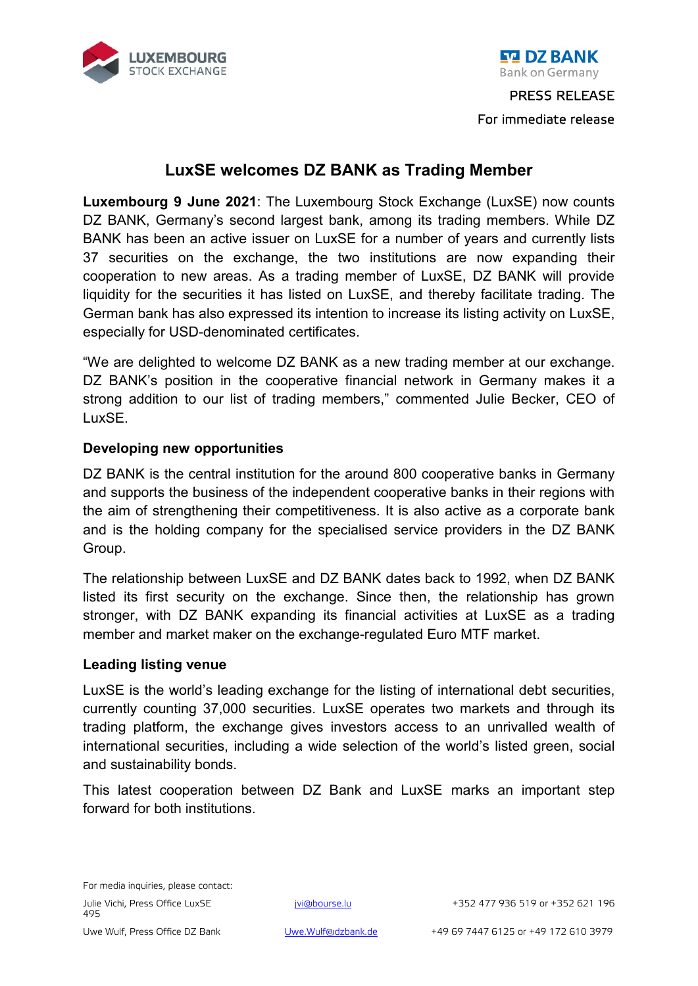

**EM DZ BANK** 

# **LuxSE welcomes DZ BANK as Trading Member**

**Luxembourg 9 June 2021**: The Luxembourg Stock Exchange (LuxSE) now counts DZ BANK, Germany's second largest bank, among its trading members. While DZ BANK has been an active issuer on LuxSE for a number of years and currently lists 37 securities on the exchange, the two institutions are now expanding their cooperation to new areas. As a trading member of LuxSE, DZ BANK will provide liquidity for the securities it has listed on LuxSE, and thereby facilitate trading. The German bank has also expressed its intention to increase its listing activity on LuxSE, especially for USD-denominated certificates.

"We are delighted to welcome DZ BANK as a new trading member at our exchange. DZ BANK's position in the cooperative financial network in Germany makes it a strong addition to our list of trading members," commented Julie Becker, CEO of LuxSE.

## **Developing new opportunities**

DZ BANK is the central institution for the around 800 cooperative banks in Germany and supports the business of the independent cooperative banks in their regions with the aim of strengthening their competitiveness. It is also active as a corporate bank and is the holding company for the specialised service providers in the DZ BANK Group.

The relationship between LuxSE and DZ BANK dates back to 1992, when DZ BANK listed its first security on the exchange. Since then, the relationship has grown stronger, with DZ BANK expanding its financial activities at LuxSE as a trading member and market maker on the exchange-regulated Euro MTF market.

### **Leading listing venue**

LuxSE is the world's leading exchange for the listing of international debt securities, currently counting 37,000 securities. LuxSE operates two markets and through its trading platform, the exchange gives investors access to an unrivalled wealth of international securities, including a wide selection of the world's listed green, social and sustainability bonds.

This latest cooperation between DZ Bank and LuxSE marks an important step forward for both institutions.